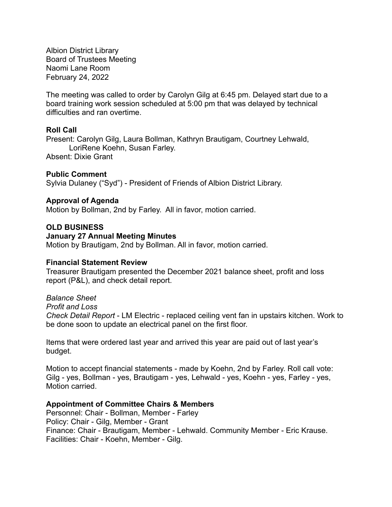Albion District Library Board of Trustees Meeting Naomi Lane Room February 24, 2022

The meeting was called to order by Carolyn Gilg at 6:45 pm. Delayed start due to a board training work session scheduled at 5:00 pm that was delayed by technical difficulties and ran overtime.

### **Roll Call**

Present: Carolyn Gilg, Laura Bollman, Kathryn Brautigam, Courtney Lehwald, LoriRene Koehn, Susan Farley. Absent: Dixie Grant

### **Public Comment**

Sylvia Dulaney ("Syd") - President of Friends of Albion District Library.

## **Approval of Agenda**

Motion by Bollman, 2nd by Farley. All in favor, motion carried.

### **OLD BUSINESS**

### **January 27 Annual Meeting Minutes**

Motion by Brautigam, 2nd by Bollman. All in favor, motion carried.

### **Financial Statement Review**

Treasurer Brautigam presented the December 2021 balance sheet, profit and loss report (P&L), and check detail report.

*Balance Sheet Profit and Loss Check Detail Report* - LM Electric - replaced ceiling vent fan in upstairs kitchen. Work to be done soon to update an electrical panel on the first floor.

Items that were ordered last year and arrived this year are paid out of last year's budget.

Motion to accept financial statements - made by Koehn, 2nd by Farley. Roll call vote: Gilg - yes, Bollman - yes, Brautigam - yes, Lehwald - yes, Koehn - yes, Farley - yes, Motion carried.

### **Appointment of Committee Chairs & Members**

Personnel: Chair - Bollman, Member - Farley Policy: Chair - Gilg, Member - Grant Finance: Chair - Brautigam, Member - Lehwald. Community Member - Eric Krause. Facilities: Chair - Koehn, Member - Gilg.